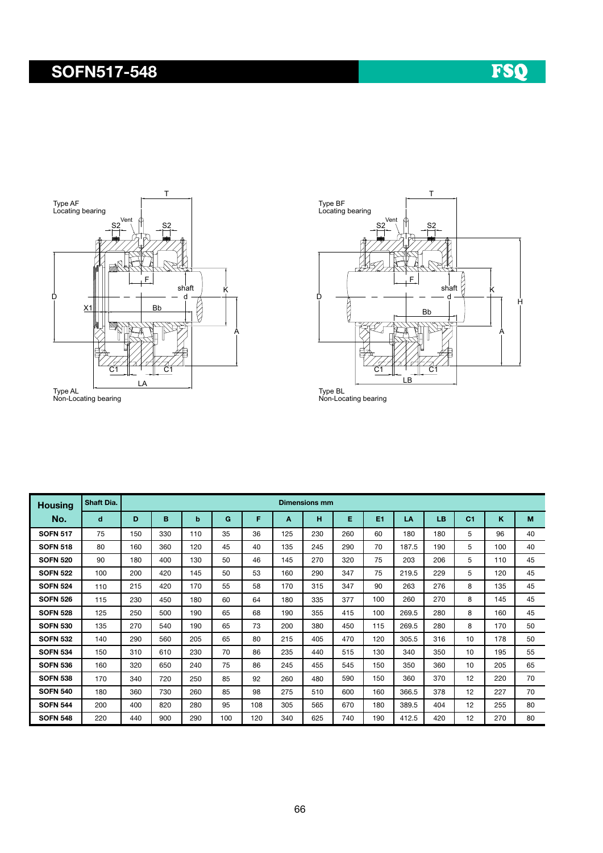#### SOFN517-548





| <b>Housing</b>  | Shaft Dia. | <b>Dimensions mm</b> |     |     |     |     |     |     |     |     |       |     |                |     |    |
|-----------------|------------|----------------------|-----|-----|-----|-----|-----|-----|-----|-----|-------|-----|----------------|-----|----|
| No.             | d          | D                    | B   | b   | G   | F   | A   | н   | E   | E1  | LA    | LB  | C <sub>1</sub> | K   | M  |
| <b>SOFN 517</b> | 75         | 150                  | 330 | 110 | 35  | 36  | 125 | 230 | 260 | 60  | 180   | 180 | 5              | 96  | 40 |
| <b>SOFN 518</b> | 80         | 160                  | 360 | 120 | 45  | 40  | 135 | 245 | 290 | 70  | 187.5 | 190 | 5              | 100 | 40 |
| <b>SOFN 520</b> | 90         | 180                  | 400 | 130 | 50  | 46  | 145 | 270 | 320 | 75  | 203   | 206 | 5              | 110 | 45 |
| <b>SOFN 522</b> | 100        | 200                  | 420 | 145 | 50  | 53  | 160 | 290 | 347 | 75  | 219.5 | 229 | 5              | 120 | 45 |
| <b>SOFN 524</b> | 110        | 215                  | 420 | 170 | 55  | 58  | 170 | 315 | 347 | 90  | 263   | 276 | 8              | 135 | 45 |
| <b>SOFN 526</b> | 115        | 230                  | 450 | 180 | 60  | 64  | 180 | 335 | 377 | 100 | 260   | 270 | 8              | 145 | 45 |
| <b>SOFN 528</b> | 125        | 250                  | 500 | 190 | 65  | 68  | 190 | 355 | 415 | 100 | 269.5 | 280 | 8              | 160 | 45 |
| <b>SOFN 530</b> | 135        | 270                  | 540 | 190 | 65  | 73  | 200 | 380 | 450 | 115 | 269.5 | 280 | 8              | 170 | 50 |
| <b>SOFN 532</b> | 140        | 290                  | 560 | 205 | 65  | 80  | 215 | 405 | 470 | 120 | 305.5 | 316 | 10             | 178 | 50 |
| <b>SOFN 534</b> | 150        | 310                  | 610 | 230 | 70  | 86  | 235 | 440 | 515 | 130 | 340   | 350 | 10             | 195 | 55 |
| <b>SOFN 536</b> | 160        | 320                  | 650 | 240 | 75  | 86  | 245 | 455 | 545 | 150 | 350   | 360 | 10             | 205 | 65 |
| <b>SOFN 538</b> | 170        | 340                  | 720 | 250 | 85  | 92  | 260 | 480 | 590 | 150 | 360   | 370 | 12             | 220 | 70 |
| <b>SOFN 540</b> | 180        | 360                  | 730 | 260 | 85  | 98  | 275 | 510 | 600 | 160 | 366.5 | 378 | 12             | 227 | 70 |
| <b>SOFN 544</b> | 200        | 400                  | 820 | 280 | 95  | 108 | 305 | 565 | 670 | 180 | 389.5 | 404 | 12             | 255 | 80 |
| <b>SOFN 548</b> | 220        | 440                  | 900 | 290 | 100 | 120 | 340 | 625 | 740 | 190 | 412.5 | 420 | 12             | 270 | 80 |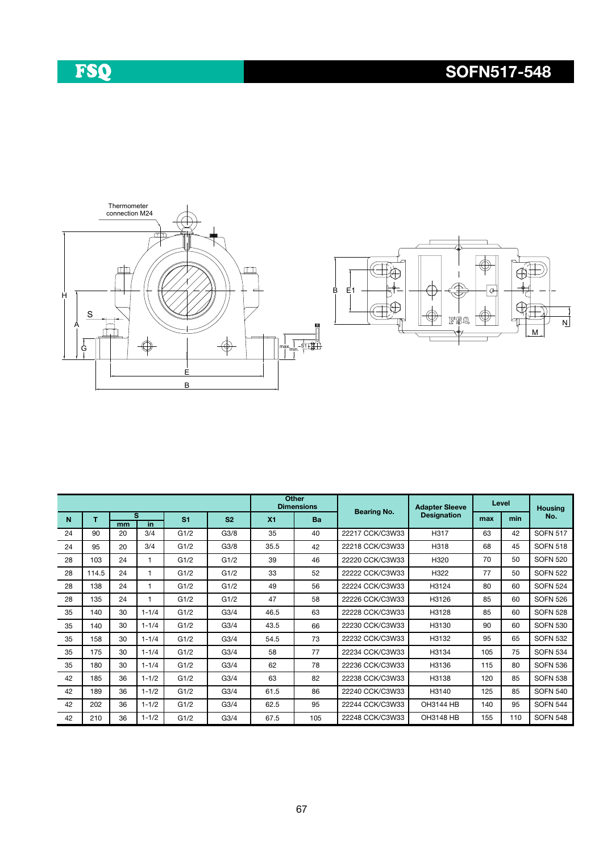# FSQ

### SOFN517-548





|    |       |          |           |      |                  |      | <b>Other</b><br><b>Dimensions</b> | <b>Bearing No.</b> | <b>Adapter Sleeve</b> |                | Level          | <b>Housing</b>  |    |  |                    |     |     |     |
|----|-------|----------|-----------|------|------------------|------|-----------------------------------|--------------------|-----------------------|----------------|----------------|-----------------|----|--|--------------------|-----|-----|-----|
| N  | т     | in<br>mm |           | s    |                  |      |                                   |                    |                       | S <sub>1</sub> | S <sub>2</sub> | X <sub>1</sub>  | Ba |  | <b>Designation</b> | max | min | No. |
| 24 | 90    | 20       | 3/4       | G1/2 | G3/8             | 35   | 40                                | 22217 CCK/C3W33    | H317                  | 63             | 42             | <b>SOFN 517</b> |    |  |                    |     |     |     |
| 24 | 95    | 20       | 3/4       | G1/2 | G3/8             | 35.5 | 42                                | 22218 CCK/C3W33    | H318                  | 68             | 45             | <b>SOFN 518</b> |    |  |                    |     |     |     |
| 28 | 103   | 24       |           | G1/2 | G1/2             | 39   | 46                                | 22220 CCK/C3W33    | H320                  | 70             | 50             | <b>SOFN 520</b> |    |  |                    |     |     |     |
| 28 | 114.5 | 24       |           | G1/2 | G1/2             | 33   | 52                                | 22222 CCK/C3W33    | H322                  | 77             | 50             | <b>SOFN 522</b> |    |  |                    |     |     |     |
| 28 | 138   | 24       |           | G1/2 | G1/2             | 49   | 56                                | 22224 CCK/C3W33    | H3124                 | 80             | 60             | <b>SOFN 524</b> |    |  |                    |     |     |     |
| 28 | 135   | 24       |           | G1/2 | G1/2             | 47   | 58                                | 22226 CCK/C3W33    | H3126                 | 85             | 60             | <b>SOFN 526</b> |    |  |                    |     |     |     |
| 35 | 140   | 30       | $1 - 1/4$ | G1/2 | G <sub>3/4</sub> | 46.5 | 63                                | 22228 CCK/C3W33    | H3128                 | 85             | 60             | <b>SOFN 528</b> |    |  |                    |     |     |     |
| 35 | 140   | 30       | $1 - 1/4$ | G1/2 | G3/4             | 43.5 | 66                                | 22230 CCK/C3W33    | H3130                 | 90             | 60             | <b>SOFN 530</b> |    |  |                    |     |     |     |
| 35 | 158   | 30       | $1 - 1/4$ | G1/2 | G <sub>3/4</sub> | 54.5 | 73                                | 22232 CCK/C3W33    | H3132                 | 95             | 65             | <b>SOFN 532</b> |    |  |                    |     |     |     |
| 35 | 175   | 30       | $1 - 1/4$ | G1/2 | G <sub>3/4</sub> | 58   | 77                                | 22234 CCK/C3W33    | H3134                 | 105            | 75             | <b>SOFN 534</b> |    |  |                    |     |     |     |
| 35 | 180   | 30       | $1 - 1/4$ | G1/2 | G3/4             | 62   | 78                                | 22236 CCK/C3W33    | H3136                 | 115            | 80             | <b>SOFN 536</b> |    |  |                    |     |     |     |
| 42 | 185   | 36       | $1 - 1/2$ | G1/2 | G3/4             | 63   | 82                                | 22238 CCK/C3W33    | H3138                 | 120            | 85             | <b>SOFN 538</b> |    |  |                    |     |     |     |
| 42 | 189   | 36       | $1 - 1/2$ | G1/2 | G <sub>3/4</sub> | 61.5 | 86                                | 22240 CCK/C3W33    | H3140                 | 125            | 85             | <b>SOFN 540</b> |    |  |                    |     |     |     |
| 42 | 202   | 36       | $1 - 1/2$ | G1/2 | G3/4             | 62.5 | 95                                | 22244 CCK/C3W33    | <b>OH3144 HB</b>      | 140            | 95             | <b>SOFN 544</b> |    |  |                    |     |     |     |
| 42 | 210   | 36       | $1 - 1/2$ | G1/2 | G <sub>3/4</sub> | 67.5 | 105                               | 22248 CCK/C3W33    | OH3148 HB             | 155            | 110            | <b>SOFN 548</b> |    |  |                    |     |     |     |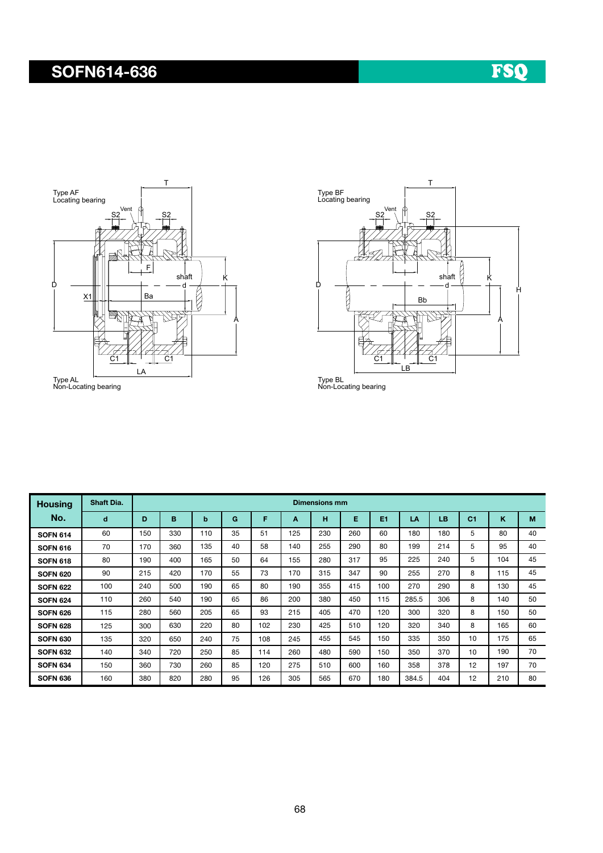### SOFN614-636





Type AL Non-Locating bearing

Type BL Non-Locating bearing

| <b>Housing</b>  | <b>Shaft Dia.</b> | <b>Dimensions mm</b> |     |     |    |     |     |     |     |     |       |     |                |     |    |
|-----------------|-------------------|----------------------|-----|-----|----|-----|-----|-----|-----|-----|-------|-----|----------------|-----|----|
| No.             | d                 | D                    | B   | b   | G  | F   | A   | н   | Е   | E1  | LA    | LB  | C <sub>1</sub> | K   | M  |
| <b>SOFN 614</b> | 60                | 150                  | 330 | 110 | 35 | 51  | 125 | 230 | 260 | 60  | 180   | 180 | 5              | 80  | 40 |
| <b>SOFN 616</b> | 70                | 170                  | 360 | 135 | 40 | 58  | 140 | 255 | 290 | 80  | 199   | 214 | 5              | 95  | 40 |
| <b>SOFN 618</b> | 80                | 190                  | 400 | 165 | 50 | 64  | 155 | 280 | 317 | 95  | 225   | 240 | 5              | 104 | 45 |
| <b>SOFN 620</b> | 90                | 215                  | 420 | 170 | 55 | 73  | 170 | 315 | 347 | 90  | 255   | 270 | 8              | 115 | 45 |
| <b>SOFN 622</b> | 100               | 240                  | 500 | 190 | 65 | 80  | 190 | 355 | 415 | 100 | 270   | 290 | 8              | 130 | 45 |
| <b>SOFN 624</b> | 110               | 260                  | 540 | 190 | 65 | 86  | 200 | 380 | 450 | 115 | 285.5 | 306 | 8              | 140 | 50 |
| <b>SOFN 626</b> | 115               | 280                  | 560 | 205 | 65 | 93  | 215 | 405 | 470 | 120 | 300   | 320 | 8              | 150 | 50 |
| <b>SOFN 628</b> | 125               | 300                  | 630 | 220 | 80 | 102 | 230 | 425 | 510 | 120 | 320   | 340 | 8              | 165 | 60 |
| <b>SOFN 630</b> | 135               | 320                  | 650 | 240 | 75 | 108 | 245 | 455 | 545 | 150 | 335   | 350 | 10             | 175 | 65 |
| <b>SOFN 632</b> | 140               | 340                  | 720 | 250 | 85 | 114 | 260 | 480 | 590 | 150 | 350   | 370 | 10             | 190 | 70 |
| <b>SOFN 634</b> | 150               | 360                  | 730 | 260 | 85 | 120 | 275 | 510 | 600 | 160 | 358   | 378 | 12             | 197 | 70 |
| <b>SOFN 636</b> | 160               | 380                  | 820 | 280 | 95 | 126 | 305 | 565 | 670 | 180 | 384.5 | 404 | 12             | 210 | 80 |